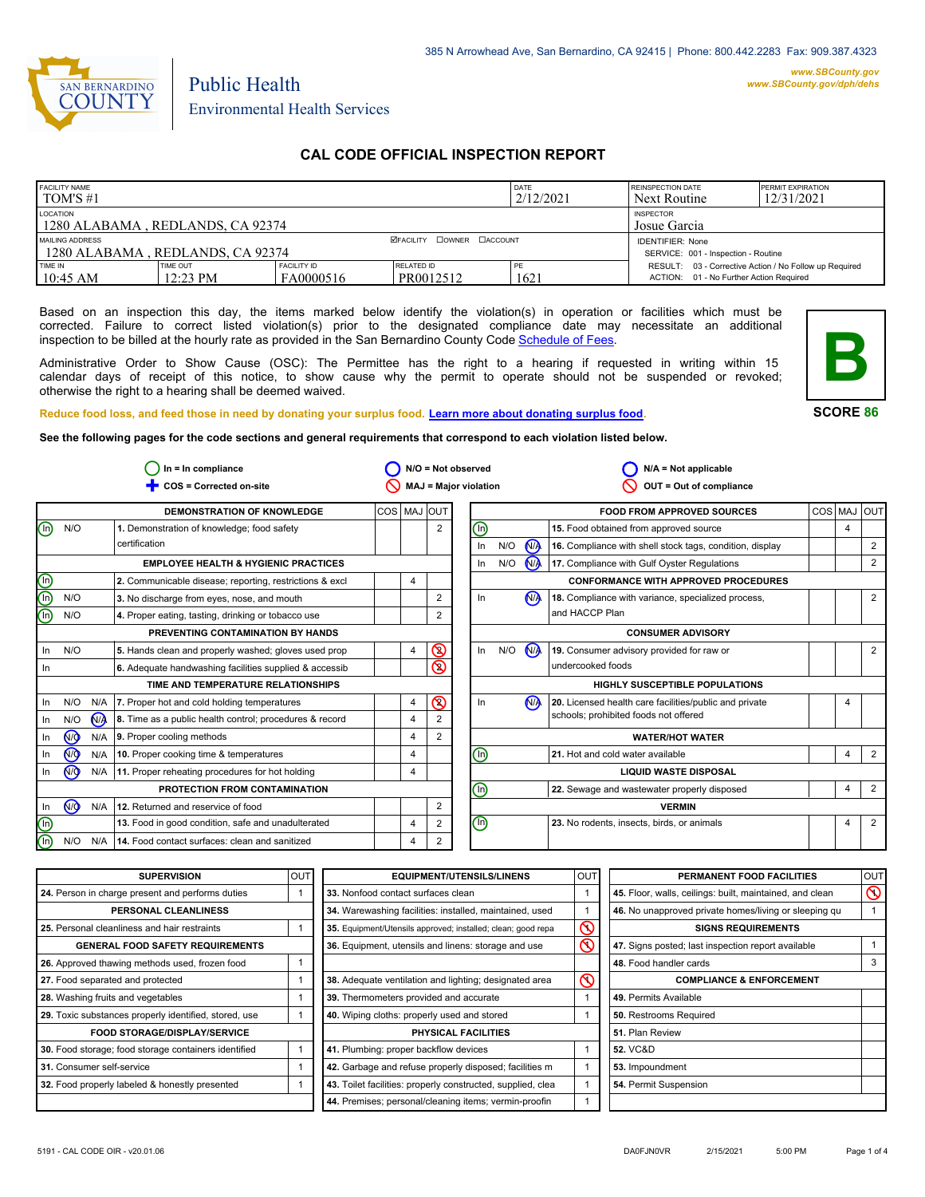

# Public Health Environmental Health Services

# **CAL CODE OFFICIAL INSPECTION REPORT**

| <b>FACILITY NAME</b><br>$\overline{1}$ TOM'S #1     |                                |                                 |                                  | <b>DATE</b><br>2/12/2021 | <b>REINSPECTION DATE</b><br>Next Routine                                                          | <b>PERMIT EXPIRATION</b><br>12/31/2021 |
|-----------------------------------------------------|--------------------------------|---------------------------------|----------------------------------|--------------------------|---------------------------------------------------------------------------------------------------|----------------------------------------|
| LOCATION<br>1280 ALABAMA, REDLANDS, CA 92374        |                                |                                 |                                  |                          | <b>INSPECTOR</b><br>Josue Garcia                                                                  |                                        |
| MAILING ADDRESS<br>1280 ALABAMA, REDLANDS, CA 92374 |                                |                                 | <b>ØFACILITY COWNER CACCOUNT</b> |                          | <b>IDENTIFIER: None</b><br>SERVICE: 001 - Inspection - Routine                                    |                                        |
| <b>TIME IN</b><br>$10:45$ AM                        | TIME OUT<br>$12:23 \text{ PM}$ | <b>FACILITY ID</b><br>FA0000516 | RELATED ID<br>PR0012512          | PF<br>1621               | RESULT: 03 - Corrective Action / No Follow up Required<br>ACTION: 01 - No Further Action Required |                                        |

Based on an inspection this day, the items marked below identify the violation(s) in operation or facilities which must be corrected. Failure to correct listed violation(s) prior to the designated compliance date may necessitate an additional inspection to be billed at the hourly rate as provided in the San Bernardino County Co[de Schedule of Fees.](http://www.amlegal.com/nxt/gateway.dll/California/sanbernardinocounty_ca/title1governmentandadministration/division6countyfees/chapter2scheduleoffees?f=templates$fn=default.htm$3.0$vid=amlegal:sanbernardinocounty_ca$anc=JD_16.0213B)

Administrative Order to Show Cause (OSC): The Permittee has the right to a hearing if requested in writing within 15 calendar days of receipt of this notice, to show cause why the permit to operate should not be suspended or revoked; otherwise the right to a hearing shall be deemed waived.



#### **SCORE 86**

**Reduce food loss, and feed those in need by donating your surplus f[ood. Learn more about donating surplus food.](http://wp.sbcounty.gov/dph/programs/ehs/food-facilities/)**

**See the following pages for the code sections and general requirements that correspond to each violation listed below.**

|                                |     |                | $In = In$ compliance                                    |                |                | $N/O = Not observed$           |                              |                | $N/A = Not$ applicable                                   |            |                |            |
|--------------------------------|-----|----------------|---------------------------------------------------------|----------------|----------------|--------------------------------|------------------------------|----------------|----------------------------------------------------------|------------|----------------|------------|
|                                |     |                | COS = Corrected on-site                                 |                |                | <b>MAJ = Major violation</b>   |                              |                | OUT = Out of compliance                                  |            |                |            |
|                                |     |                | <b>DEMONSTRATION OF KNOWLEDGE</b>                       |                | COS MAJ OUT    |                                |                              |                | <b>FOOD FROM APPROVED SOURCES</b>                        | <b>COS</b> | MAJ            | <b>OUT</b> |
| $\textcircled{\scriptsize{1}}$ | N/O |                | 1. Demonstration of knowledge; food safety              |                | $\overline{2}$ | ℗                              |                              |                | 15. Food obtained from approved source                   |            | $\overline{4}$ |            |
|                                |     |                | certification                                           |                |                | In                             | N/O                          | N <sub>A</sub> | 16. Compliance with shell stock tags, condition, display |            |                | 2          |
|                                |     |                | <b>EMPLOYEE HEALTH &amp; HYGIENIC PRACTICES</b>         |                |                | In                             | N/O                          | $\mathbf{M}$   | 17. Compliance with Gulf Oyster Regulations              |            |                | 2          |
| $\mathop{\mathsf{C}}\nolimits$ |     |                | 2. Communicable disease; reporting, restrictions & excl | 4              |                |                                |                              |                | <b>CONFORMANCE WITH APPROVED PROCEDURES</b>              |            |                |            |
|                                | N/O |                | 3. No discharge from eyes, nose, and mouth              |                | 2              | In                             |                              | N <sub>A</sub> | 18. Compliance with variance, specialized process,       |            |                | 2          |
|                                | N/O |                | 4. Proper eating, tasting, drinking or tobacco use      |                | 2              |                                |                              |                | and HACCP Plan                                           |            |                |            |
|                                |     |                | PREVENTING CONTAMINATION BY HANDS                       |                |                |                                |                              |                | <b>CONSUMER ADVISORY</b>                                 |            |                |            |
| In                             | N/O |                | 5. Hands clean and properly washed; gloves used prop    | 4              | $\circledcirc$ | $\ln$                          | N/O                          | <b>MA</b>      | 19. Consumer advisory provided for raw or                |            |                | 2          |
| In                             |     |                | 6. Adequate handwashing facilities supplied & accessib  |                | $\circledcirc$ |                                |                              |                | undercooked foods                                        |            |                |            |
|                                |     |                | TIME AND TEMPERATURE RELATIONSHIPS                      |                |                |                                |                              |                | <b>HIGHLY SUSCEPTIBLE POPULATIONS</b>                    |            |                |            |
| In                             | N/O | N/A            | 7. Proper hot and cold holding temperatures             | 4              | $\circledcirc$ | In                             |                              | M              | 20. Licensed health care facilities/public and private   |            | 4              |            |
| -ln                            | N/O | N <sub>A</sub> | 8. Time as a public health control; procedures & record | $\overline{4}$ |                |                                |                              |                | schools; prohibited foods not offered                    |            |                |            |
| In                             | ∞   | N/A            | 9. Proper cooling methods                               | $\overline{4}$ | 2              |                                |                              |                | <b>WATER/HOT WATER</b>                                   |            |                |            |
| In                             | @   | N/A            | 10. Proper cooking time & temperatures                  | $\overline{4}$ |                | ⊕                              |                              |                | 21. Hot and cold water available                         |            | $\overline{4}$ | 2          |
| In                             | (₩  |                | N/A 11. Proper reheating procedures for hot holding     | 4              |                |                                | <b>LIQUID WASTE DISPOSAL</b> |                |                                                          |            |                |            |
|                                |     |                | PROTECTION FROM CONTAMINATION                           |                |                | ⋒                              |                              |                | 22. Sewage and wastewater properly disposed              |            | 4              | 2          |
| In                             | (ਔ  | N/A            | 12. Returned and reservice of food                      |                | 2              |                                |                              |                | <b>VERMIN</b>                                            |            |                |            |
| $\circledcirc$                 |     |                | 13. Food in good condition, safe and unadulterated      | $\overline{4}$ | 2              | $\textcircled{\scriptsize{1}}$ |                              |                | 23. No rodents, insects, birds, or animals               |            | 4              | 2          |
| ⊚                              | N/O | N/A            | 14. Food contact surfaces: clean and sanitized          | 4              | 2              |                                |                              |                |                                                          |            |                |            |

| <b>SUPERVISION</b>                                    | <b>OUT</b> | <b>EQUIPMENT/UTENSILS/LINENS</b>                             | OU <sub>1</sub>         | PERMANENT FOOD FACILITIES                                | lout     |
|-------------------------------------------------------|------------|--------------------------------------------------------------|-------------------------|----------------------------------------------------------|----------|
| 24. Person in charge present and performs duties      |            | 33. Nonfood contact surfaces clean                           |                         | 45. Floor, walls, ceilings: built, maintained, and clean | $\infty$ |
| PERSONAL CLEANLINESS                                  |            | 34. Warewashing facilities: installed, maintained, used      |                         | 46. No unapproved private homes/living or sleeping qu    |          |
| 25. Personal cleanliness and hair restraints          |            | 35. Equipment/Utensils approved; installed; clean; good repa | $\mathcal{C}$           | <b>SIGNS REQUIREMENTS</b>                                |          |
| <b>GENERAL FOOD SAFETY REQUIREMENTS</b>               |            | 36. Equipment, utensils and linens: storage and use          | $\overline{\mathsf{S}}$ | 47. Signs posted; last inspection report available       |          |
| 26. Approved thawing methods used, frozen food        |            |                                                              |                         | 48. Food handler cards                                   | 3        |
| 27. Food separated and protected                      |            | 38. Adequate ventilation and lighting; designated area       | $\mathcal{S}$           | <b>COMPLIANCE &amp; ENFORCEMENT</b>                      |          |
| 28. Washing fruits and vegetables                     |            | 39. Thermometers provided and accurate                       |                         | 49. Permits Available                                    |          |
| 29. Toxic substances properly identified, stored, use |            | 40. Wiping cloths: properly used and stored                  |                         | 50. Restrooms Required                                   |          |
| <b>FOOD STORAGE/DISPLAY/SERVICE</b>                   |            | <b>PHYSICAL FACILITIES</b>                                   |                         | 51. Plan Review                                          |          |
| 30. Food storage; food storage containers identified  |            | 41. Plumbing: proper backflow devices                        |                         | <b>52. VC&amp;D</b>                                      |          |
| 31. Consumer self-service                             |            | 42. Garbage and refuse properly disposed; facilities m       |                         | 53. Impoundment                                          |          |
| 32. Food properly labeled & honestly presented        |            | 43. Toilet facilities: properly constructed, supplied, clea  |                         | 54. Permit Suspension                                    |          |
|                                                       |            | 44. Premises; personal/cleaning items; vermin-proofin        |                         |                                                          |          |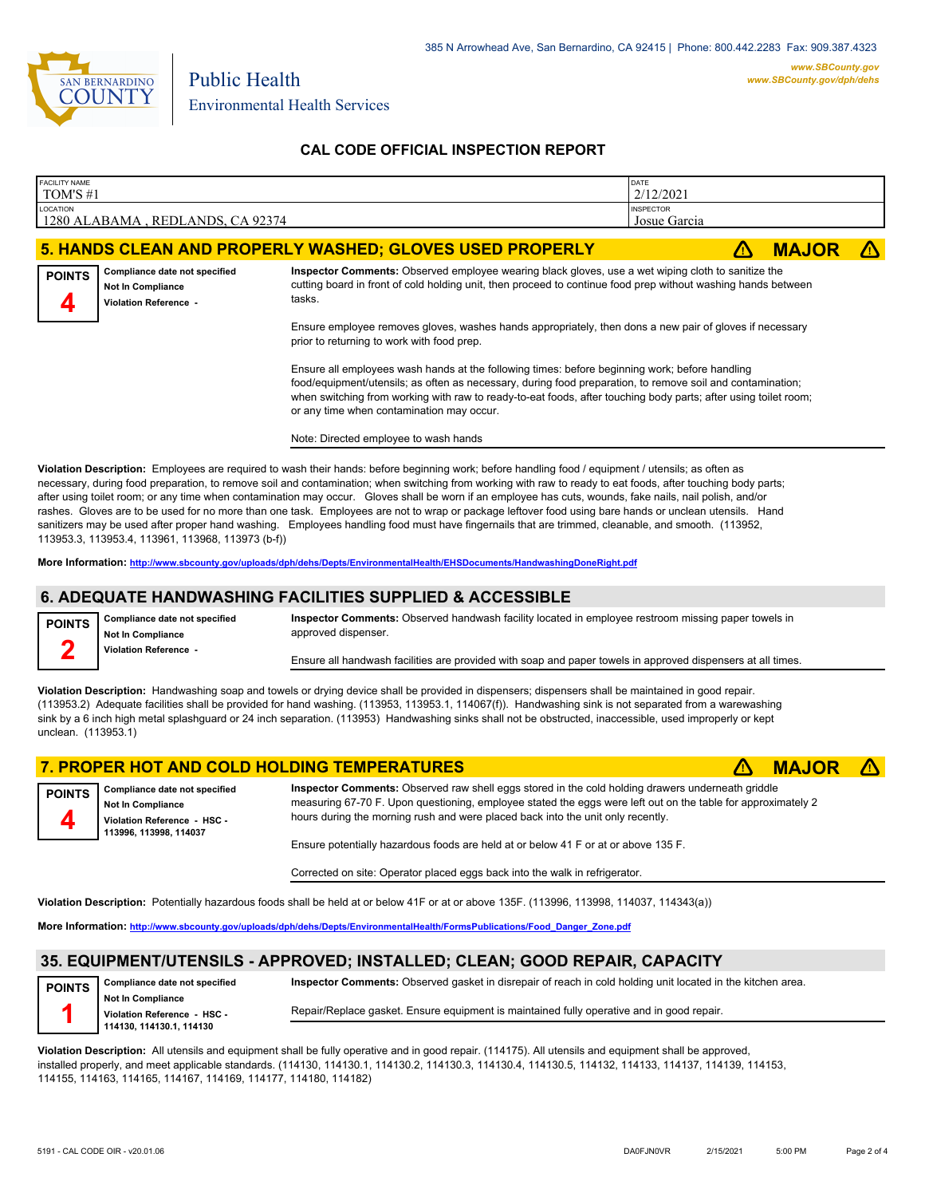

## **CAL CODE OFFICIAL INSPECTION REPORT**

| <b>FACILITY NAME</b><br>TOM'S #1                                                                                                                                                                                                                                                                                                                                             |                                                                                                                                                                                                                                                                                                                                             |                                                                                                                                                                                                                                                                                                                                                                                                                                                                                                                                                                                                                                                                                                                                                                                               | DATE<br>2/12/2021                |              |  |  |
|------------------------------------------------------------------------------------------------------------------------------------------------------------------------------------------------------------------------------------------------------------------------------------------------------------------------------------------------------------------------------|---------------------------------------------------------------------------------------------------------------------------------------------------------------------------------------------------------------------------------------------------------------------------------------------------------------------------------------------|-----------------------------------------------------------------------------------------------------------------------------------------------------------------------------------------------------------------------------------------------------------------------------------------------------------------------------------------------------------------------------------------------------------------------------------------------------------------------------------------------------------------------------------------------------------------------------------------------------------------------------------------------------------------------------------------------------------------------------------------------------------------------------------------------|----------------------------------|--------------|--|--|
| LOCATION                                                                                                                                                                                                                                                                                                                                                                     | 1280 ALABAMA, REDLANDS, CA 92374                                                                                                                                                                                                                                                                                                            |                                                                                                                                                                                                                                                                                                                                                                                                                                                                                                                                                                                                                                                                                                                                                                                               | <b>INSPECTOR</b><br>Josue Garcia |              |  |  |
|                                                                                                                                                                                                                                                                                                                                                                              |                                                                                                                                                                                                                                                                                                                                             | 5. HANDS CLEAN AND PROPERLY WASHED; GLOVES USED PROPERLY                                                                                                                                                                                                                                                                                                                                                                                                                                                                                                                                                                                                                                                                                                                                      | ⚠                                | <b>MAJOR</b> |  |  |
| <b>POINTS</b>                                                                                                                                                                                                                                                                                                                                                                | Compliance date not specified<br><b>Not In Compliance</b><br>Violation Reference -                                                                                                                                                                                                                                                          | Inspector Comments: Observed employee wearing black gloves, use a wet wiping cloth to sanitize the<br>cutting board in front of cold holding unit, then proceed to continue food prep without washing hands between<br>tasks.                                                                                                                                                                                                                                                                                                                                                                                                                                                                                                                                                                 |                                  |              |  |  |
|                                                                                                                                                                                                                                                                                                                                                                              |                                                                                                                                                                                                                                                                                                                                             | Ensure employee removes gloves, washes hands appropriately, then dons a new pair of gloves if necessary<br>prior to returning to work with food prep.                                                                                                                                                                                                                                                                                                                                                                                                                                                                                                                                                                                                                                         |                                  |              |  |  |
| Ensure all employees wash hands at the following times: before beginning work; before handling<br>food/equipment/utensils; as often as necessary, during food preparation, to remove soil and contamination;<br>when switching from working with raw to ready-to-eat foods, after touching body parts; after using toilet room;<br>or any time when contamination may occur. |                                                                                                                                                                                                                                                                                                                                             |                                                                                                                                                                                                                                                                                                                                                                                                                                                                                                                                                                                                                                                                                                                                                                                               |                                  |              |  |  |
| Note: Directed employee to wash hands                                                                                                                                                                                                                                                                                                                                        |                                                                                                                                                                                                                                                                                                                                             |                                                                                                                                                                                                                                                                                                                                                                                                                                                                                                                                                                                                                                                                                                                                                                                               |                                  |              |  |  |
|                                                                                                                                                                                                                                                                                                                                                                              | 113953.3, 113953.4, 113961, 113968, 113973 (b-f))                                                                                                                                                                                                                                                                                           | Violation Description: Employees are required to wash their hands: before beginning work; before handling food / equipment / utensils; as often as<br>necessary, during food preparation, to remove soil and contamination; when switching from working with raw to ready to eat foods, after touching body parts;<br>after using toilet room; or any time when contamination may occur. Gloves shall be worn if an employee has cuts, wounds, fake nails, nail polish, and/or<br>rashes. Gloves are to be used for no more than one task. Employees are not to wrap or package leftover food using bare hands or unclean utensils. Hand<br>sanitizers may be used after proper hand washing. Employees handling food must have fingernails that are trimmed, cleanable, and smooth. (113952, |                                  |              |  |  |
|                                                                                                                                                                                                                                                                                                                                                                              |                                                                                                                                                                                                                                                                                                                                             | More Information: http://www.sbcounty.gov/uploads/dph/dehs/Depts/EnvironmentalHealth/EHSDocuments/HandwashingDoneRight.pdf                                                                                                                                                                                                                                                                                                                                                                                                                                                                                                                                                                                                                                                                    |                                  |              |  |  |
|                                                                                                                                                                                                                                                                                                                                                                              |                                                                                                                                                                                                                                                                                                                                             | 6. ADEQUATE HANDWASHING FACILITIES SUPPLIED & ACCESSIBLE                                                                                                                                                                                                                                                                                                                                                                                                                                                                                                                                                                                                                                                                                                                                      |                                  |              |  |  |
| <b>POINTS</b>                                                                                                                                                                                                                                                                                                                                                                | Inspector Comments: Observed handwash facility located in employee restroom missing paper towels in<br>Compliance date not specified<br>approved dispenser.<br><b>Not In Compliance</b><br>2<br><b>Violation Reference -</b><br>Ensure all handwash facilities are provided with soap and paper towels in approved dispensers at all times. |                                                                                                                                                                                                                                                                                                                                                                                                                                                                                                                                                                                                                                                                                                                                                                                               |                                  |              |  |  |
|                                                                                                                                                                                                                                                                                                                                                                              |                                                                                                                                                                                                                                                                                                                                             |                                                                                                                                                                                                                                                                                                                                                                                                                                                                                                                                                                                                                                                                                                                                                                                               |                                  |              |  |  |
| unclean. (113953.1)                                                                                                                                                                                                                                                                                                                                                          |                                                                                                                                                                                                                                                                                                                                             | Violation Description: Handwashing soap and towels or drying device shall be provided in dispensers; dispensers shall be maintained in good repair.<br>(113953.2) Adequate facilities shall be provided for hand washing. (113953, 113953.1, 114067(f)). Handwashing sink is not separated from a warewashing<br>sink by a 6 inch high metal splashguard or 24 inch separation. (113953) Handwashing sinks shall not be obstructed, inaccessible, used improperly or kept                                                                                                                                                                                                                                                                                                                     |                                  |              |  |  |

|                                                                                                                    | 7. PROPER HOT AND COLD HOLDING TEMPERATURES                                                                                                                                                                                                                                                          | <b>MAJOR <math>\triangle</math></b> |  |
|--------------------------------------------------------------------------------------------------------------------|------------------------------------------------------------------------------------------------------------------------------------------------------------------------------------------------------------------------------------------------------------------------------------------------------|-------------------------------------|--|
| POINTS Compliance date not specified<br>Not In Compliance<br>Violation Reference - HSC -<br>113996, 113998, 114037 | Inspector Comments: Observed raw shell eggs stored in the cold holding drawers underneath griddle<br>measuring 67-70 F. Upon questioning, employee stated the eggs were left out on the table for approximately 2<br>hours during the morning rush and were placed back into the unit only recently. |                                     |  |
|                                                                                                                    | Ensure potentially hazardous foods are held at or below 41 F or at or above 135 F.                                                                                                                                                                                                                   |                                     |  |

Corrected on site: Operator placed eggs back into the walk in refrigerator.

**Violation Description:** Potentially hazardous foods shall be held at or below 41F or at or above 135F. (113996, 113998, 114037, 114343(a))

**More Information: [http://www.sbcounty.gov/uploads/dph/dehs/Depts/EnvironmentalHealth/FormsPublications/Food\\_Danger\\_Zone.pdf](http://www.sbcounty.gov/uploads/dph/dehs/Depts/EnvironmentalHealth/FormsPublications/Food_Danger_Zone.pdf)**

# **35. EQUIPMENT/UTENSILS - APPROVED; INSTALLED; CLEAN; GOOD REPAIR, CAPACITY**

**Compliance date not specified Not In Compliance 114130, 114130.1, 114130 POINTS**

**Inspector Comments:** Observed gasket in disrepair of reach in cold holding unit located in the kitchen area.

**Violation Reference - HSC -** 

Repair/Replace gasket. Ensure equipment is maintained fully operative and in good repair.

**Violation Description:** All utensils and equipment shall be fully operative and in good repair. (114175). All utensils and equipment shall be approved, installed properly, and meet applicable standards. (114130, 114130.1, 114130.2, 114130.3, 114130.4, 114130.5, 114132, 114133, 114137, 114139, 114153, 114155, 114163, 114165, 114167, 114169, 114177, 114180, 114182)

**1**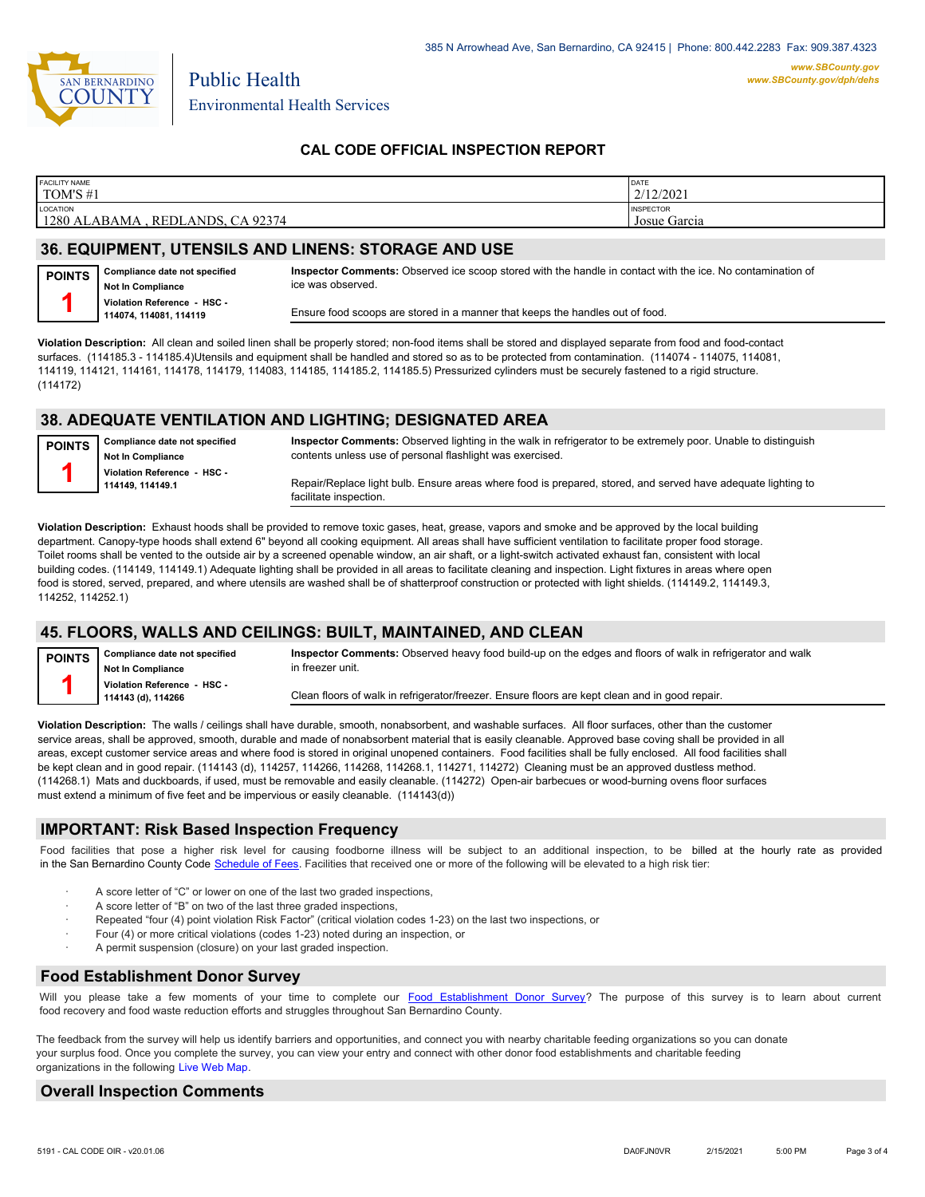

Environmental Health Services

Public Health

## **CAL CODE OFFICIAL INSPECTION REPORT**

| <b>FACILITY NAME</b>                                  | <b>DATE</b>                      |
|-------------------------------------------------------|----------------------------------|
| TOM'S #1                                              | 2/12/2021                        |
| LOCATION<br>1280<br>CA 92374<br>REDLANDS.<br>`ALABAMA | <b>INSPECTOR</b><br>Josue Garcia |

### **36. EQUIPMENT, UTENSILS AND LINENS: STORAGE AND USE**

**Compliance date not specified Not In Compliance POINTS 1**

**Inspector Comments:** Observed ice scoop stored with the handle in contact with the ice. No contamination of ice was observed.

**Violation Reference - HSC - 114074, 114081, 114119**

Ensure food scoops are stored in a manner that keeps the handles out of food.

**Violation Description:** All clean and soiled linen shall be properly stored; non-food items shall be stored and displayed separate from food and food-contact surfaces. (114185.3 - 114185.4)Utensils and equipment shall be handled and stored so as to be protected from contamination. (114074 - 114075, 114081, 114119, 114121, 114161, 114178, 114179, 114083, 114185, 114185.2, 114185.5) Pressurized cylinders must be securely fastened to a rigid structure. (114172)

## **38. ADEQUATE VENTILATION AND LIGHTING; DESIGNATED AREA**

**Compliance date not specified Not In Compliance Violation Reference - HSC - 114149, 114149.1 POINTS 1**

**Inspector Comments:** Observed lighting in the walk in refrigerator to be extremely poor. Unable to distinguish contents unless use of personal flashlight was exercised.

Repair/Replace light bulb. Ensure areas where food is prepared, stored, and served have adequate lighting to facilitate inspection.

**Violation Description:** Exhaust hoods shall be provided to remove toxic gases, heat, grease, vapors and smoke and be approved by the local building department. Canopy-type hoods shall extend 6" beyond all cooking equipment. All areas shall have sufficient ventilation to facilitate proper food storage. Toilet rooms shall be vented to the outside air by a screened openable window, an air shaft, or a light-switch activated exhaust fan, consistent with local building codes. (114149, 114149.1) Adequate lighting shall be provided in all areas to facilitate cleaning and inspection. Light fixtures in areas where open food is stored, served, prepared, and where utensils are washed shall be of shatterproof construction or protected with light shields. (114149.2, 114149.3, 114252, 114252.1)

#### **45. FLOORS, WALLS AND CEILINGS: BUILT, MAINTAINED, AND CLEAN**

| <b>POINTS</b> | Compliance date not specified<br>Not In Compliance | Inspector Comments: Observed heavy food build-up on the edges and floors of walk in refrigerator and walk<br>in freezer unit. |
|---------------|----------------------------------------------------|-------------------------------------------------------------------------------------------------------------------------------|
|               | Violation Reference - HSC -<br>114143 (d), 114266  | Clean floors of walk in refrigerator/freezer. Ensure floors are kept clean and in good repair.                                |

**Violation Description:** The walls / ceilings shall have durable, smooth, nonabsorbent, and washable surfaces. All floor surfaces, other than the customer service areas, shall be approved, smooth, durable and made of nonabsorbent material that is easily cleanable. Approved base coving shall be provided in all areas, except customer service areas and where food is stored in original unopened containers. Food facilities shall be fully enclosed. All food facilities shall be kept clean and in good repair. (114143 (d), 114257, 114266, 114268, 114268.1, 114271, 114272) Cleaning must be an approved dustless method. (114268.1) Mats and duckboards, if used, must be removable and easily cleanable. (114272) Open-air barbecues or wood-burning ovens floor surfaces must extend a minimum of five feet and be impervious or easily cleanable. (114143(d))

#### **IMPORTANT: Risk Based Inspection Frequency**

Food facilities that pose a higher risk level for causing foodborne illness will be subject to an additional inspection, to be billed at the hourly rate as provided in the San Bernardino Count[y Code Schedule of Fees. Facilitie](http://www.amlegal.com/nxt/gateway.dll/California/sanbernardinocounty_ca/title1governmentandadministration/division6countyfees/chapter2scheduleoffees?f=templates$fn=default.htm$3.0$vid=amlegal:sanbernardinocounty_ca$anc=JD_16.0213B)s that received one or more of the following will be elevated to a high risk tier:

- A score letter of "C" or lower on one of the last two graded inspections.
- A score letter of "B" on two of the last three graded inspections,
- Repeated "four (4) point violation Risk Factor" (critical violation codes 1-23) on the last two inspections, or
- · Four (4) or more critical violations (codes 1-23) noted during an inspection, or
- A permit suspension (closure) on your last graded inspection.

#### **Food Establishment Donor Survey**

Will you please take a few moments of your time to co[mplete our Food Establishment Donor Survey?](https://survey123.arcgis.com/share/626bb0fb21674c82832b0c0d557c5e80?field:faid=FA0000516&field:facility_name=TOM) The purpose of this survey is to learn about current food recovery and food waste reduction efforts and struggles throughout San Bernardino County.

The feedback from the survey will help us identify barriers and opportunities, and connect you with nearby charitable feeding organizations so you can donate your surplus food. Once you complete the survey, you can view your entry and connect with other donor food establishments and charitable feeding organizations in the fol[lowing Live Web Map.](https://arcg.is/WvjGb)

#### **Overall Inspection Comments**